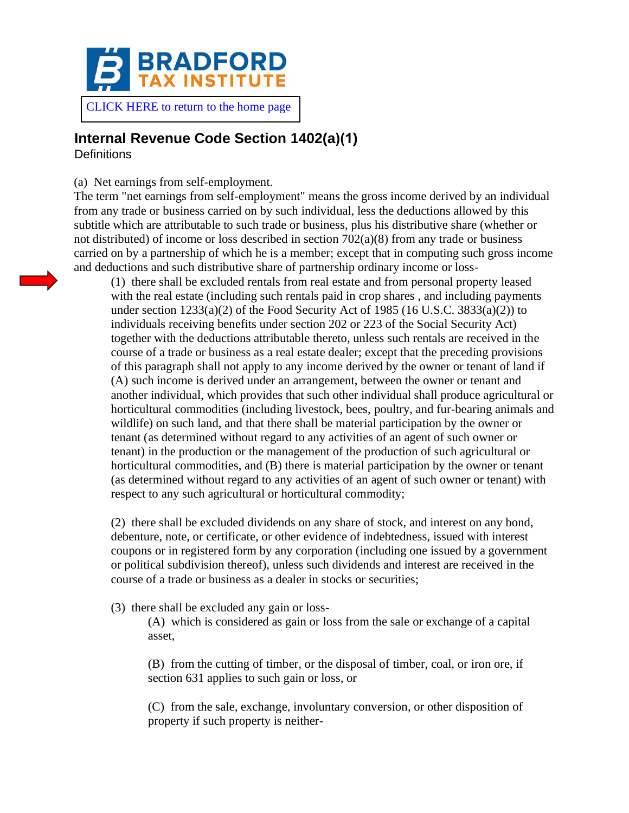

## **Internal Revenue Code Section 1402(a)(1)**

**Definitions** 

(a) Net earnings from self-employment.

The term "net earnings from self-employment" means the gross income derived by an individual from any trade or business carried on by such individual, less the deductions allowed by this subtitle which are attributable to such trade or business, plus his distributive share (whether or not distributed) of income or loss described in section  $702(a)(8)$  from any trade or business carried on by a partnership of which he is a member; except that in computing such gross income and deductions and such distributive share of partnership ordinary income or loss-

(1) there shall be excluded rentals from real estate and from personal property leased with the real estate (including such rentals paid in crop shares, and including payments under section  $1233(a)(2)$  of the Food Security Act of 1985 (16 U.S.C. 3833(a)(2)) to individuals receiving benefits under section 202 or 223 of the Social Security Act) together with the deductions attributable thereto, unless such rentals are received in the course of a trade or business as a real estate dealer; except that the preceding provisions of this paragraph shall not apply to any income derived by the owner or tenant of land if (A) such income is derived under an arrangement, between the owner or tenant and another individual, which provides that such other individual shall produce agricultural or horticultural commodities (including livestock, bees, poultry, and fur-bearing animals and wildlife) on such land, and that there shall be material participation by the owner or tenant (as determined without regard to any activities of an agent of such owner or tenant) in the production or the management of the production of such agricultural or horticultural commodities, and (B) there is material participation by the owner or tenant (as determined without regard to any activities of an agent of such owner or tenant) with respect to any such agricultural or horticultural commodity;

(2) there shall be excluded dividends on any share of stock, and interest on any bond, debenture, note, or certificate, or other evidence of indebtedness, issued with interest coupons or in registered form by any corporation (including one issued by a government or political subdivision thereof), unless such dividends and interest are received in the course of a trade or business as a dealer in stocks or securities;

(3) there shall be excluded any gain or loss-

(A) which is considered as gain or loss from the sale or exchange of a capital asset,

(B) from the cutting of timber, or the disposal of timber, coal, or iron ore, if section 631 applies to such gain or loss, or

(C) from the sale, exchange, involuntary conversion, or other disposition of property if such property is neither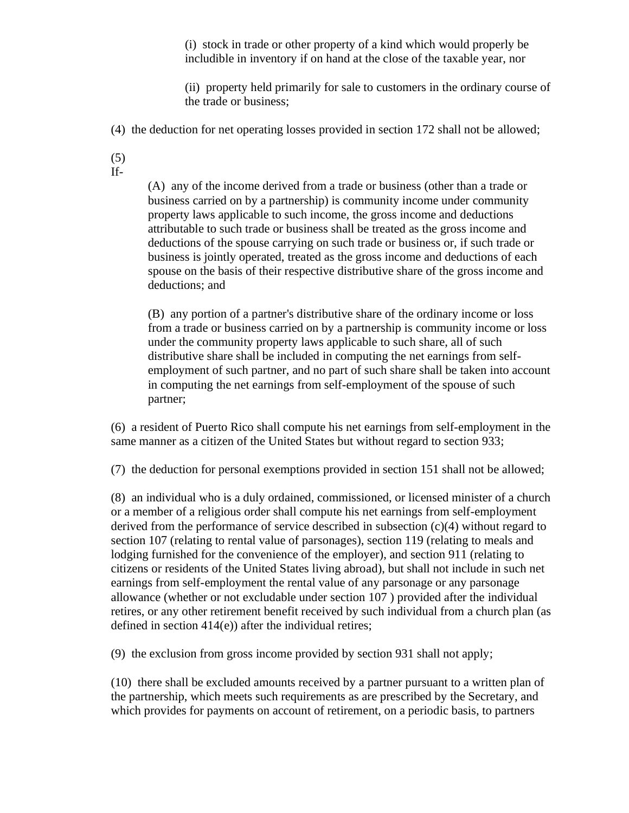(i) stock in trade or other property of a kind which would properly be includible in inventory if on hand at the close of the taxable year, nor

(ii) property held primarily for sale to customers in the ordinary course of the trade or business;

(4) the deduction for net operating losses provided in section 172 shall not be allowed;

- (5)
- If-

(A) any of the income derived from a trade or business (other than a trade or business carried on by a partnership) is community income under community property laws applicable to such income, the gross income and deductions attributable to such trade or business shall be treated as the gross income and deductions of the spouse carrying on such trade or business or, if such trade or business is jointly operated, treated as the gross income and deductions of each spouse on the basis of their respective distributive share of the gross income and deductions; and

(B) any portion of a partner's distributive share of the ordinary income or loss from a trade or business carried on by a partnership is community income or loss under the community property laws applicable to such share, all of such distributive share shall be included in computing the net earnings from selfemployment of such partner, and no part of such share shall be taken into account in computing the net earnings from self-employment of the spouse of such partner;

(6) a resident of Puerto Rico shall compute his net earnings from self-employment in the same manner as a citizen of the United States but without regard to section 933;

(7) the deduction for personal exemptions provided in section 151 shall not be allowed;

(8) an individual who is a duly ordained, commissioned, or licensed minister of a church or a member of a religious order shall compute his net earnings from self-employment derived from the performance of service described in subsection (c)(4) without regard to section 107 (relating to rental value of parsonages), section 119 (relating to meals and lodging furnished for the convenience of the employer), and section 911 (relating to citizens or residents of the United States living abroad), but shall not include in such net earnings from self-employment the rental value of any parsonage or any parsonage allowance (whether or not excludable under section 107 ) provided after the individual retires, or any other retirement benefit received by such individual from a church plan (as defined in section 414(e)) after the individual retires;

(9) the exclusion from gross income provided by section 931 shall not apply;

(10) there shall be excluded amounts received by a partner pursuant to a written plan of the partnership, which meets such requirements as are prescribed by the Secretary, and which provides for payments on account of retirement, on a periodic basis, to partners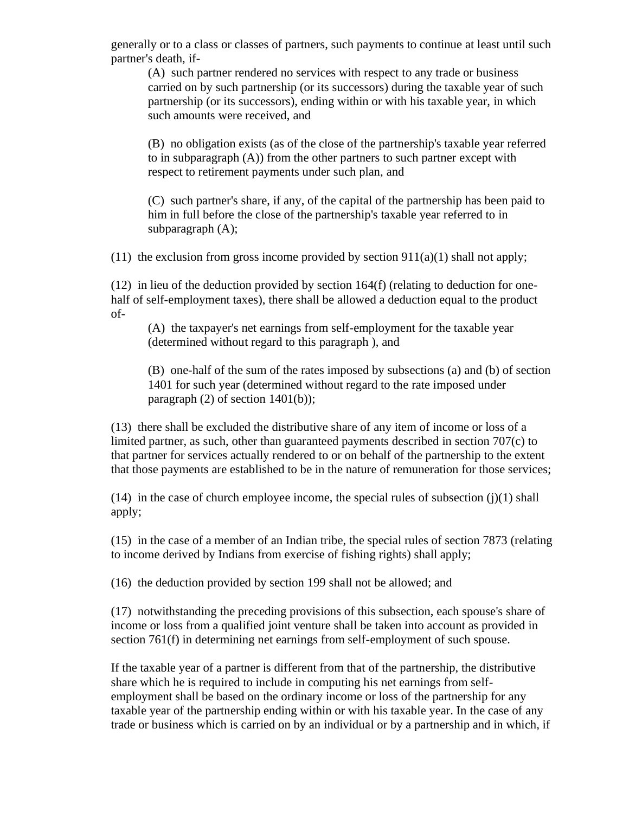generally or to a class or classes of partners, such payments to continue at least until such partner's death, if-

(A) such partner rendered no services with respect to any trade or business carried on by such partnership (or its successors) during the taxable year of such partnership (or its successors), ending within or with his taxable year, in which such amounts were received, and

(B) no obligation exists (as of the close of the partnership's taxable year referred to in subparagraph (A)) from the other partners to such partner except with respect to retirement payments under such plan, and

(C) such partner's share, if any, of the capital of the partnership has been paid to him in full before the close of the partnership's taxable year referred to in subparagraph (A);

(11) the exclusion from gross income provided by section  $911(a)(1)$  shall not apply;

(12) in lieu of the deduction provided by section 164(f) (relating to deduction for onehalf of self-employment taxes), there shall be allowed a deduction equal to the product of-

(A) the taxpayer's net earnings from self-employment for the taxable year (determined without regard to this paragraph ), and

(B) one-half of the sum of the rates imposed by subsections (a) and (b) of section 1401 for such year (determined without regard to the rate imposed under paragraph  $(2)$  of section 1401 $(b)$ ;

(13) there shall be excluded the distributive share of any item of income or loss of a limited partner, as such, other than guaranteed payments described in section 707(c) to that partner for services actually rendered to or on behalf of the partnership to the extent that those payments are established to be in the nature of remuneration for those services;

 $(14)$  in the case of church employee income, the special rules of subsection  $(i)(1)$  shall apply;

(15) in the case of a member of an Indian tribe, the special rules of section 7873 (relating to income derived by Indians from exercise of fishing rights) shall apply;

(16) the deduction provided by section 199 shall not be allowed; and

(17) notwithstanding the preceding provisions of this subsection, each spouse's share of income or loss from a qualified joint venture shall be taken into account as provided in section 761(f) in determining net earnings from self-employment of such spouse.

If the taxable year of a partner is different from that of the partnership, the distributive share which he is required to include in computing his net earnings from selfemployment shall be based on the ordinary income or loss of the partnership for any taxable year of the partnership ending within or with his taxable year. In the case of any trade or business which is carried on by an individual or by a partnership and in which, if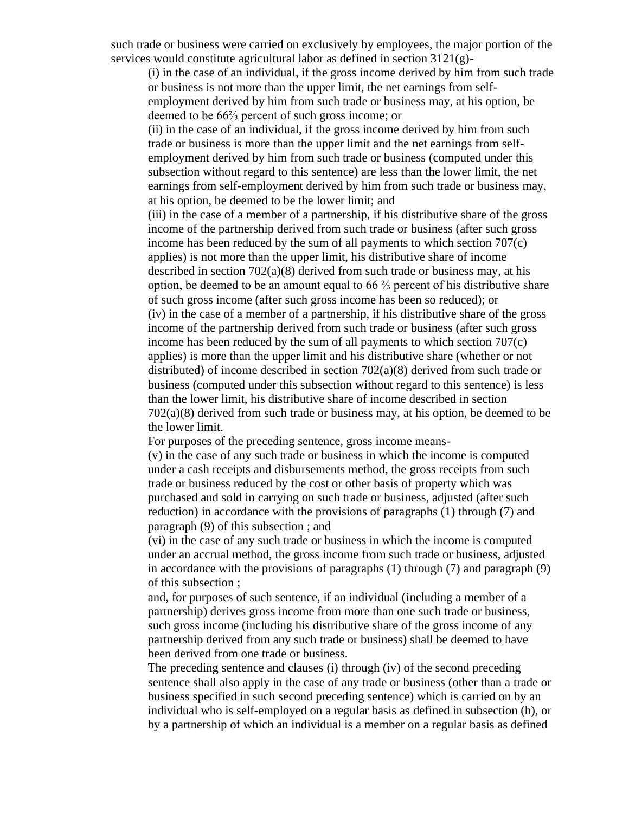such trade or business were carried on exclusively by employees, the major portion of the services would constitute agricultural labor as defined in section 3121(g)-

(i) in the case of an individual, if the gross income derived by him from such trade or business is not more than the upper limit, the net earnings from selfemployment derived by him from such trade or business may, at his option, be deemed to be 66⅔ percent of such gross income; or (ii) in the case of an individual, if the gross income derived by him from such

trade or business is more than the upper limit and the net earnings from selfemployment derived by him from such trade or business (computed under this subsection without regard to this sentence) are less than the lower limit, the net earnings from self-employment derived by him from such trade or business may, at his option, be deemed to be the lower limit; and

(iii) in the case of a member of a partnership, if his distributive share of the gross income of the partnership derived from such trade or business (after such gross income has been reduced by the sum of all payments to which section 707(c) applies) is not more than the upper limit, his distributive share of income described in section  $702(a)(8)$  derived from such trade or business may, at his option, be deemed to be an amount equal to 66 ⅔ percent of his distributive share of such gross income (after such gross income has been so reduced); or (iv) in the case of a member of a partnership, if his distributive share of the gross income of the partnership derived from such trade or business (after such gross income has been reduced by the sum of all payments to which section 707(c) applies) is more than the upper limit and his distributive share (whether or not distributed) of income described in section 702(a)(8) derived from such trade or business (computed under this subsection without regard to this sentence) is less than the lower limit, his distributive share of income described in section  $702(a)(8)$  derived from such trade or business may, at his option, be deemed to be the lower limit.

For purposes of the preceding sentence, gross income means-

(v) in the case of any such trade or business in which the income is computed under a cash receipts and disbursements method, the gross receipts from such trade or business reduced by the cost or other basis of property which was purchased and sold in carrying on such trade or business, adjusted (after such reduction) in accordance with the provisions of paragraphs (1) through (7) and paragraph (9) of this subsection ; and

(vi) in the case of any such trade or business in which the income is computed under an accrual method, the gross income from such trade or business, adjusted in accordance with the provisions of paragraphs  $(1)$  through  $(7)$  and paragraph  $(9)$ of this subsection ;

and, for purposes of such sentence, if an individual (including a member of a partnership) derives gross income from more than one such trade or business, such gross income (including his distributive share of the gross income of any partnership derived from any such trade or business) shall be deemed to have been derived from one trade or business.

The preceding sentence and clauses (i) through (iv) of the second preceding sentence shall also apply in the case of any trade or business (other than a trade or business specified in such second preceding sentence) which is carried on by an individual who is self-employed on a regular basis as defined in subsection (h), or by a partnership of which an individual is a member on a regular basis as defined